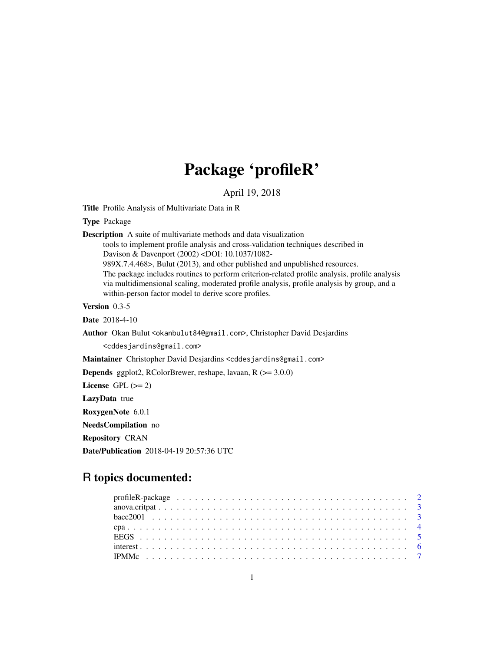# Package 'profileR'

April 19, 2018

<span id="page-0-0"></span>Title Profile Analysis of Multivariate Data in R

Type Package

Description A suite of multivariate methods and data visualization

tools to implement profile analysis and cross-validation techniques described in Davison & Davenport (2002) <DOI: 10.1037/1082-

989X.7.4.468>, Bulut (2013), and other published and unpublished resources.

The package includes routines to perform criterion-related profile analysis, profile analysis via multidimensional scaling, moderated profile analysis, profile analysis by group, and a within-person factor model to derive score profiles.

Version 0.3-5

Date 2018-4-10

Author Okan Bulut <okanbulut84@gmail.com>, Christopher David Desjardins

<cddesjardins@gmail.com>

Maintainer Christopher David Desjardins <cddesjardins@gmail.com>

Depends ggplot2, RColorBrewer, reshape, lavaan, R (>= 3.0.0)

License GPL  $(>= 2)$ 

LazyData true

RoxygenNote 6.0.1

NeedsCompilation no

Repository CRAN

Date/Publication 2018-04-19 20:57:36 UTC

# R topics documented: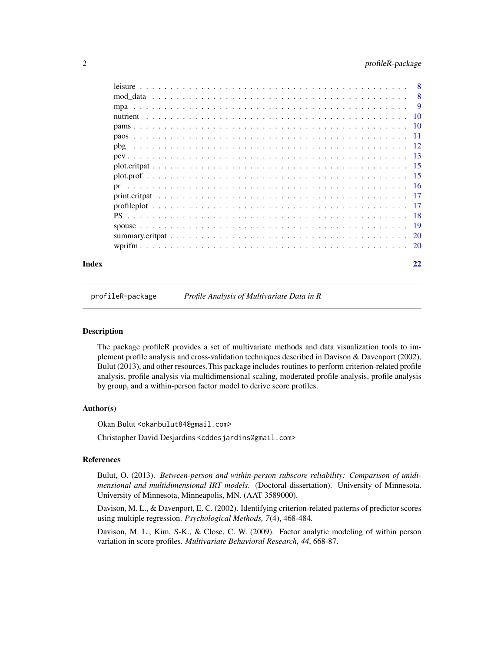# <span id="page-1-0"></span>2 profileR-package

| Index |  |  |  |  |  |  |  |  |  |  |  |  |  |  |  |  | 22 |
|-------|--|--|--|--|--|--|--|--|--|--|--|--|--|--|--|--|----|
|       |  |  |  |  |  |  |  |  |  |  |  |  |  |  |  |  |    |

profileR-package *Profile Analysis of Multivariate Data in R*

#### Description

The package profileR provides a set of multivariate methods and data visualization tools to implement profile analysis and cross-validation techniques described in Davison & Davenport (2002), Bulut (2013), and other resources.This package includes routines to perform criterion-related profile analysis, profile analysis via multidimensional scaling, moderated profile analysis, profile analysis by group, and a within-person factor model to derive score profiles.

# Author(s)

Okan Bulut <okanbulut84@gmail.com>

Christopher David Desjardins <cddesjardins@gmail.com>

# References

Bulut, O. (2013). *Between-person and within-person subscore reliability: Comparison of unidimensional and multidimensional IRT models*. (Doctoral dissertation). University of Minnesota. University of Minnesota, Minneapolis, MN. (AAT 3589000).

Davison, M. L., & Davenport, E. C. (2002). Identifying criterion-related patterns of predictor scores using multiple regression. *Psychological Methods, 7*(4), 468-484.

Davison, M. L., Kim, S-K., & Close, C. W. (2009). Factor analytic modeling of within person variation in score profiles. *Multivariate Behavioral Research, 44*, 668-87.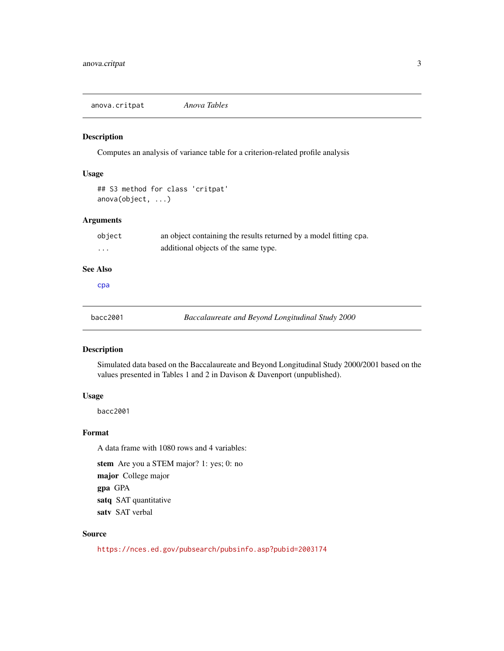<span id="page-2-1"></span><span id="page-2-0"></span>anova.critpat *Anova Tables*

# Description

Computes an analysis of variance table for a criterion-related profile analysis

# Usage

```
## S3 method for class 'critpat'
anova(object, ...)
```
#### Arguments

| object                 | an object containing the results returned by a model fitting cpa. |
|------------------------|-------------------------------------------------------------------|
| $\cdots$               | additional objects of the same type.                              |
| <b>See Also</b><br>cpa |                                                                   |

# Description

Simulated data based on the Baccalaureate and Beyond Longitudinal Study 2000/2001 based on the values presented in Tables 1 and 2 in Davison & Davenport (unpublished).

### Usage

bacc2001

# Format

A data frame with 1080 rows and 4 variables:

stem Are you a STEM major? 1: yes; 0: no

major College major

gpa GPA

satq SAT quantitative

satv SAT verbal

# Source

<https://nces.ed.gov/pubsearch/pubsinfo.asp?pubid=2003174>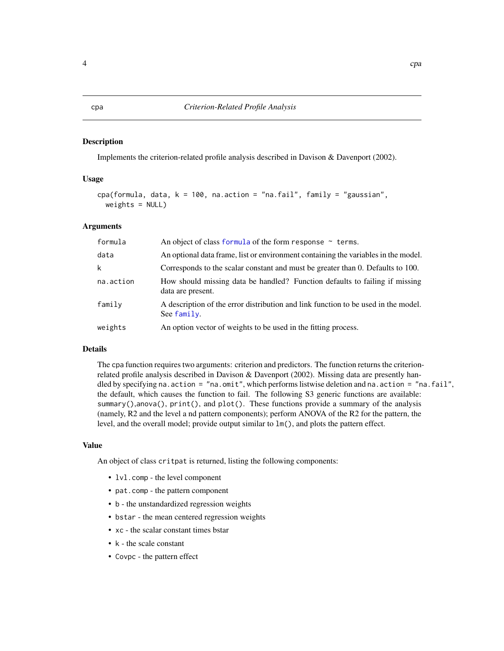<span id="page-3-1"></span><span id="page-3-0"></span>Implements the criterion-related profile analysis described in Davison & Davenport (2002).

#### Usage

```
cpa(formula, data, k = 100, na.action = "na.fail", family = "gaussian",
 weights = NULL)
```
# Arguments

| formula   | An object of class formula of the form response $\sim$ terms.                                     |
|-----------|---------------------------------------------------------------------------------------------------|
| data      | An optional data frame, list or environment containing the variables in the model.                |
| k         | Corresponds to the scalar constant and must be greater than 0. Defaults to 100.                   |
| na.action | How should missing data be handled? Function defaults to failing if missing<br>data are present.  |
| family    | A description of the error distribution and link function to be used in the model.<br>See family. |
| weights   | An option vector of weights to be used in the fitting process.                                    |

#### Details

The cpa function requires two arguments: criterion and predictors. The function returns the criterionrelated profile analysis described in Davison & Davenport (2002). Missing data are presently handled by specifying na.action = "na.omit", which performs listwise deletion and na.action = "na.fail", the default, which causes the function to fail. The following S3 generic functions are available: summary(),anova(), print(), and plot(). These functions provide a summary of the analysis (namely, R2 and the level a nd pattern components); perform ANOVA of the R2 for the pattern, the level, and the overall model; provide output similar to lm(), and plots the pattern effect.

#### Value

An object of class critpat is returned, listing the following components:

- lvl.comp the level component
- pat.comp the pattern component
- b the unstandardized regression weights
- bstar the mean centered regression weights
- xc the scalar constant times bstar
- k the scale constant
- Covpc the pattern effect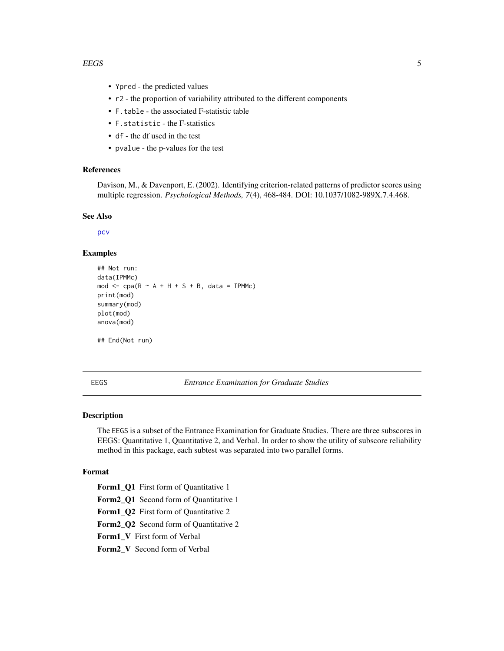#### <span id="page-4-0"></span>EEGS 5

- Ypred the predicted values
- r2 the proportion of variability attributed to the different components
- F.table the associated F-statistic table
- F.statistic the F-statistics
- df the df used in the test
- pvalue the p-values for the test

# References

Davison, M., & Davenport, E. (2002). Identifying criterion-related patterns of predictor scores using multiple regression. *Psychological Methods, 7*(4), 468-484. DOI: 10.1037/1082-989X.7.4.468.

# See Also

[pcv](#page-12-1)

# Examples

```
## Not run:
data(IPMMc)
mod \leq cpa(R \sim A + H + S + B, data = IPMMc)
print(mod)
summary(mod)
plot(mod)
anova(mod)
```
## End(Not run)

EEGS *Entrance Examination for Graduate Studies*

# Description

The EEGS is a subset of the Entrance Examination for Graduate Studies. There are three subscores in EEGS: Quantitative 1, Quantitative 2, and Verbal. In order to show the utility of subscore reliability method in this package, each subtest was separated into two parallel forms.

# Format

Form1\_Q1 First form of Quantitative 1 Form2\_Q1 Second form of Quantitative 1 Form1\_Q2 First form of Quantitative 2 Form2\_Q2 Second form of Quantitative 2 Form1\_V First form of Verbal Form2\_V Second form of Verbal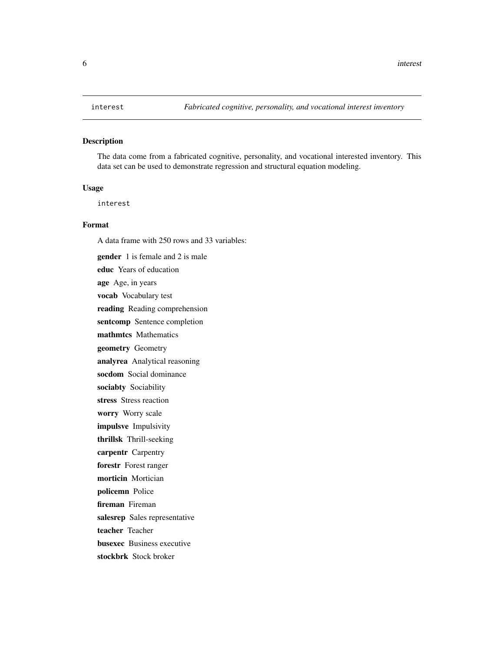<span id="page-5-0"></span>The data come from a fabricated cognitive, personality, and vocational interested inventory. This data set can be used to demonstrate regression and structural equation modeling.

## Usage

interest

# Format

A data frame with 250 rows and 33 variables: gender 1 is female and 2 is male educ Years of education age Age, in years vocab Vocabulary test reading Reading comprehension sentcomp Sentence completion mathmtcs Mathematics geometry Geometry analyrea Analytical reasoning socdom Social dominance sociabty Sociability stress Stress reaction worry Worry scale impulsve Impulsivity thrillsk Thrill-seeking carpentr Carpentry forestr Forest ranger morticin Mortician policemn Police fireman Fireman salesrep Sales representative teacher Teacher busexec Business executive stockbrk Stock broker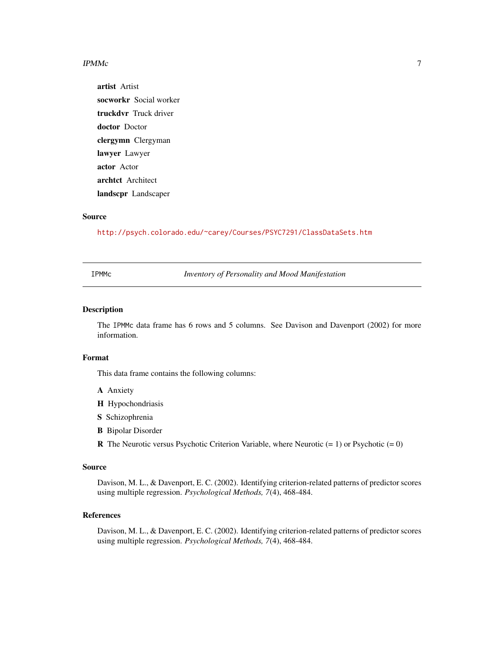#### <span id="page-6-0"></span> $IPMMc$

artist Artist socworkr Social worker truckdvr Truck driver doctor Doctor clergymn Clergyman lawyer Lawyer actor Actor archtct Architect landscpr Landscaper

# Source

<http://psych.colorado.edu/~carey/Courses/PSYC7291/ClassDataSets.htm>

IPMMc *Inventory of Personality and Mood Manifestation*

# Description

The IPMMc data frame has 6 rows and 5 columns. See Davison and Davenport (2002) for more information.

#### Format

This data frame contains the following columns:

- A Anxiety
- H Hypochondriasis
- S Schizophrenia
- B Bipolar Disorder

**R** The Neurotic versus Psychotic Criterion Variable, where Neurotic  $(= 1)$  or Psychotic  $(= 0)$ 

# Source

Davison, M. L., & Davenport, E. C. (2002). Identifying criterion-related patterns of predictor scores using multiple regression. *Psychological Methods, 7*(4), 468-484.

# References

Davison, M. L., & Davenport, E. C. (2002). Identifying criterion-related patterns of predictor scores using multiple regression. *Psychological Methods, 7*(4), 468-484.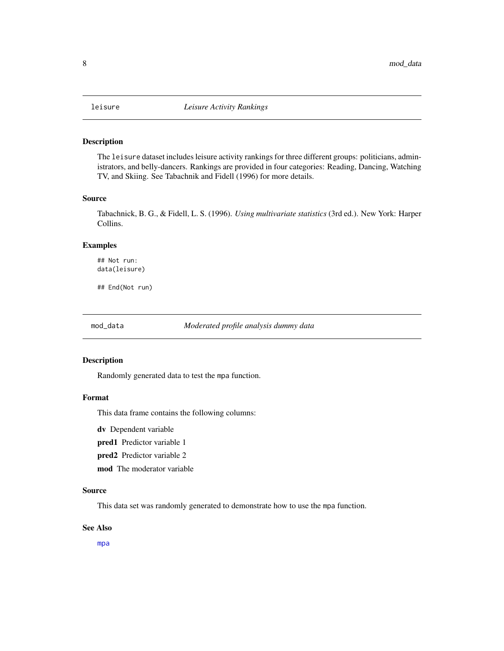<span id="page-7-0"></span>

The leisure dataset includes leisure activity rankings for three different groups: politicians, administrators, and belly-dancers. Rankings are provided in four categories: Reading, Dancing, Watching TV, and Skiing. See Tabachnik and Fidell (1996) for more details.

# Source

Tabachnick, B. G., & Fidell, L. S. (1996). *Using multivariate statistics* (3rd ed.). New York: Harper Collins.

# Examples

## Not run: data(leisure)

## End(Not run)

mod\_data *Moderated profile analysis dummy data*

#### Description

Randomly generated data to test the mpa function.

# Format

This data frame contains the following columns:

dv Dependent variable

pred1 Predictor variable 1

pred2 Predictor variable 2

mod The moderator variable

#### Source

This data set was randomly generated to demonstrate how to use the mpa function.

### See Also

[mpa](#page-8-1)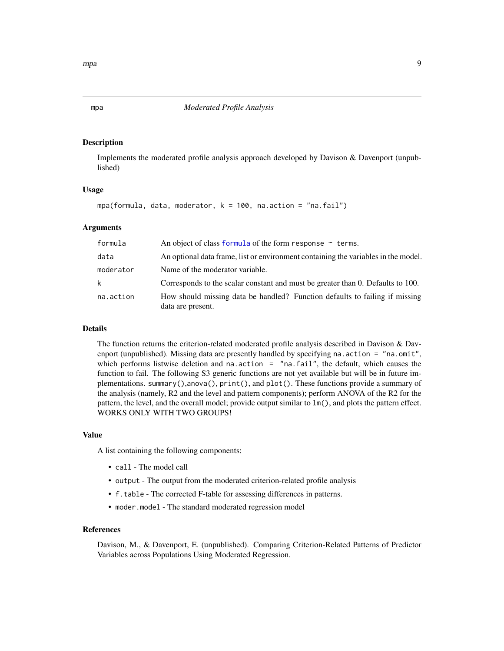<span id="page-8-1"></span><span id="page-8-0"></span>mpa *Moderated Profile Analysis*

#### Description

Implements the moderated profile analysis approach developed by Davison & Davenport (unpublished)

#### Usage

mpa(formula, data, moderator,  $k = 100$ , na.action = "na.fail")

### Arguments

| formula   | An object of class formula of the form response $\sim$ terms.                                    |
|-----------|--------------------------------------------------------------------------------------------------|
| data      | An optional data frame, list or environment containing the variables in the model.               |
| moderator | Name of the moderator variable.                                                                  |
| k         | Corresponds to the scalar constant and must be greater than 0. Defaults to 100.                  |
| na.action | How should missing data be handled? Function defaults to failing if missing<br>data are present. |

# Details

The function returns the criterion-related moderated profile analysis described in Davison & Davenport (unpublished). Missing data are presently handled by specifying na.action = "na.omit", which performs listwise deletion and na.action = "na.fail", the default, which causes the function to fail. The following S3 generic functions are not yet available but will be in future implementations. summary(),anova(), print(), and plot(). These functions provide a summary of the analysis (namely, R2 and the level and pattern components); perform ANOVA of the R2 for the pattern, the level, and the overall model; provide output similar to lm(), and plots the pattern effect. WORKS ONLY WITH TWO GROUPS!

# Value

A list containing the following components:

- call The model call
- output The output from the moderated criterion-related profile analysis
- f.table The corrected F-table for assessing differences in patterns.
- moder.model The standard moderated regression model

# References

Davison, M., & Davenport, E. (unpublished). Comparing Criterion-Related Patterns of Predictor Variables across Populations Using Moderated Regression.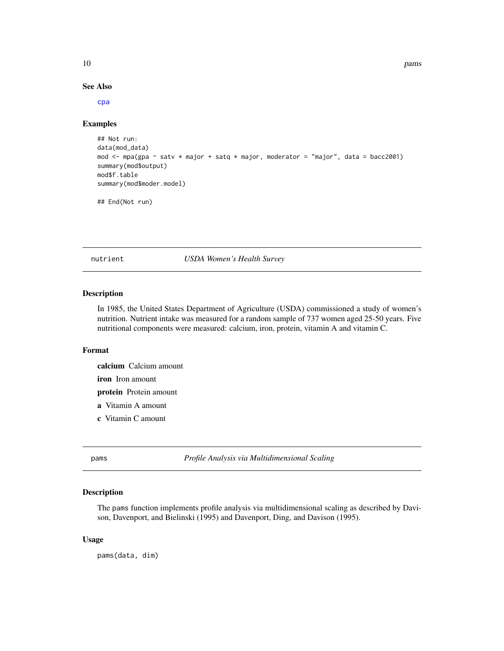#### See Also

[cpa](#page-3-1)

# Examples

```
## Not run:
data(mod_data)
mod <- mpa(gpa ~ satv * major + satq * major, moderator = "major", data = bacc2001)
summary(mod$output)
mod$f.table
summary(mod$moder.model)
## End(Not run)
```
nutrient *USDA Women's Health Survey*

# Description

In 1985, the United States Department of Agriculture (USDA) commissioned a study of women's nutrition. Nutrient intake was measured for a random sample of 737 women aged 25-50 years. Five nutritional components were measured: calcium, iron, protein, vitamin A and vitamin C.

#### Format

calcium Calcium amount

iron Iron amount

protein Protein amount

- a Vitamin A amount
- c Vitamin C amount

pams *Profile Analysis via Multidimensional Scaling*

# Description

The pams function implements profile analysis via multidimensional scaling as described by Davison, Davenport, and Bielinski (1995) and Davenport, Ding, and Davison (1995).

#### Usage

pams(data, dim)

<span id="page-9-0"></span>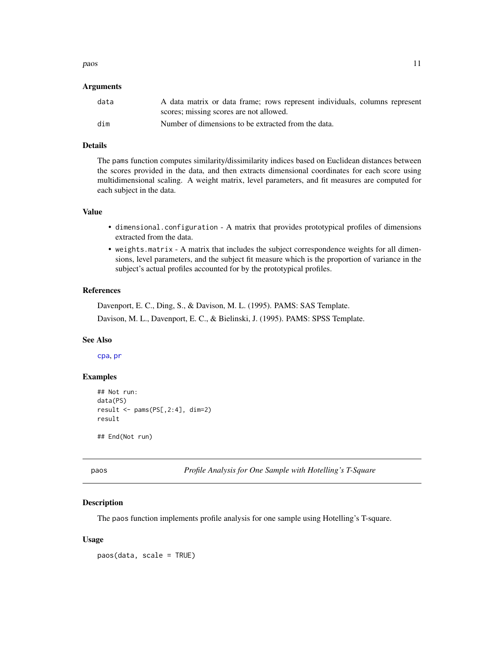#### <span id="page-10-0"></span>paos 11

# Arguments

| data | A data matrix or data frame; rows represent individuals, columns represent |
|------|----------------------------------------------------------------------------|
|      | scores; missing scores are not allowed.                                    |
| dim  | Number of dimensions to be extracted from the data.                        |

# Details

The pams function computes similarity/dissimilarity indices based on Euclidean distances between the scores provided in the data, and then extracts dimensional coordinates for each score using multidimensional scaling. A weight matrix, level parameters, and fit measures are computed for each subject in the data.

# Value

- dimensional.configuration A matrix that provides prototypical profiles of dimensions extracted from the data.
- weights.matrix A matrix that includes the subject correspondence weights for all dimensions, level parameters, and the subject fit measure which is the proportion of variance in the subject's actual profiles accounted for by the prototypical profiles.

# References

Davenport, E. C., Ding, S., & Davison, M. L. (1995). PAMS: SAS Template. Davison, M. L., Davenport, E. C., & Bielinski, J. (1995). PAMS: SPSS Template.

# See Also

[cpa](#page-3-1), [pr](#page-15-1)

# Examples

```
## Not run:
data(PS)
result \le pams(PS[,2:4], dim=2)
result
```
## End(Not run)

paos *Profile Analysis for One Sample with Hotelling's T-Square*

# Description

The paos function implements profile analysis for one sample using Hotelling's T-square.

#### Usage

paos(data, scale = TRUE)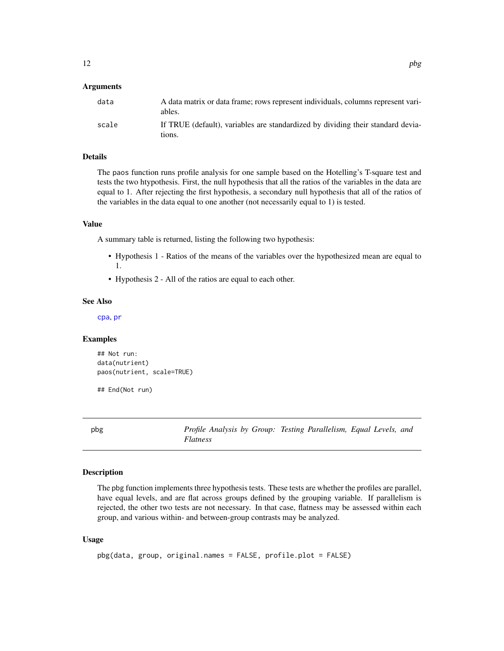# <span id="page-11-0"></span>Arguments

| data  | A data matrix or data frame; rows represent individuals, columns represent vari-<br>ables. |
|-------|--------------------------------------------------------------------------------------------|
| scale | If TRUE (default), variables are standardized by dividing their standard devia-<br>tions.  |

# Details

The paos function runs profile analysis for one sample based on the Hotelling's T-square test and tests the two htypothesis. First, the null hypothesis that all the ratios of the variables in the data are equal to 1. After rejecting the first hypothesis, a secondary null hypothesis that all of the ratios of the variables in the data equal to one another (not necessarily equal to 1) is tested.

#### Value

A summary table is returned, listing the following two hypothesis:

- Hypothesis 1 Ratios of the means of the variables over the hypothesized mean are equal to 1.
- Hypothesis 2 All of the ratios are equal to each other.

# See Also

[cpa](#page-3-1), [pr](#page-15-1)

# Examples

```
## Not run:
data(nutrient)
paos(nutrient, scale=TRUE)
```
## End(Not run)

pbg *Profile Analysis by Group: Testing Parallelism, Equal Levels, and Flatness*

# Description

The pbg function implements three hypothesis tests. These tests are whether the profiles are parallel, have equal levels, and are flat across groups defined by the grouping variable. If parallelism is rejected, the other two tests are not necessary. In that case, flatness may be assessed within each group, and various within- and between-group contrasts may be analyzed.

# Usage

```
pbg(data, group, original.names = FALSE, profile.plot = FALSE)
```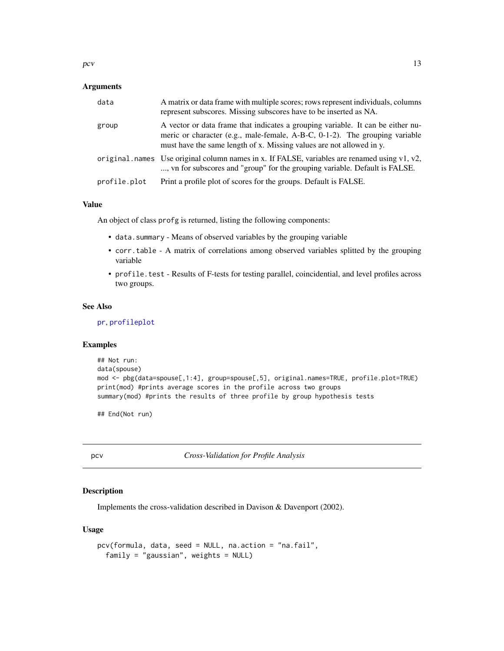<span id="page-12-0"></span> $pcv$  13

# Arguments

| data         | A matrix or data frame with multiple scores; rows represent individuals, columns<br>represent subscores. Missing subscores have to be inserted as NA.                                                                                  |
|--------------|----------------------------------------------------------------------------------------------------------------------------------------------------------------------------------------------------------------------------------------|
| group        | A vector or data frame that indicates a grouping variable. It can be either nu-<br>meric or character (e.g., male-female, A-B-C, 0-1-2). The grouping variable<br>must have the same length of x. Missing values are not allowed in y. |
|              | original names Use original column names in x. If FALSE, variables are renamed using $v1, v2$ ,<br>, vn for subscores and "group" for the grouping variable. Default is FALSE.                                                         |
| profile.plot | Print a profile plot of scores for the groups. Default is FALSE.                                                                                                                                                                       |

# Value

An object of class profg is returned, listing the following components:

- data.summary Means of observed variables by the grouping variable
- corr.table A matrix of correlations among observed variables splitted by the grouping variable
- profile.test Results of F-tests for testing parallel, coincidential, and level profiles across two groups.

#### See Also

[pr](#page-15-1), [profileplot](#page-16-1)

### Examples

```
## Not run:
data(spouse)
mod <- pbg(data=spouse[,1:4], group=spouse[,5], original.names=TRUE, profile.plot=TRUE)
print(mod) #prints average scores in the profile across two groups
summary(mod) #prints the results of three profile by group hypothesis tests
```
## End(Not run)

<span id="page-12-1"></span>pcv *Cross-Validation for Profile Analysis*

# Description

Implements the cross-validation described in Davison & Davenport (2002).

# Usage

```
pcv(formula, data, seed = NULL, na.action = "na.fail",
  family = "gaussian", weights = NULL)
```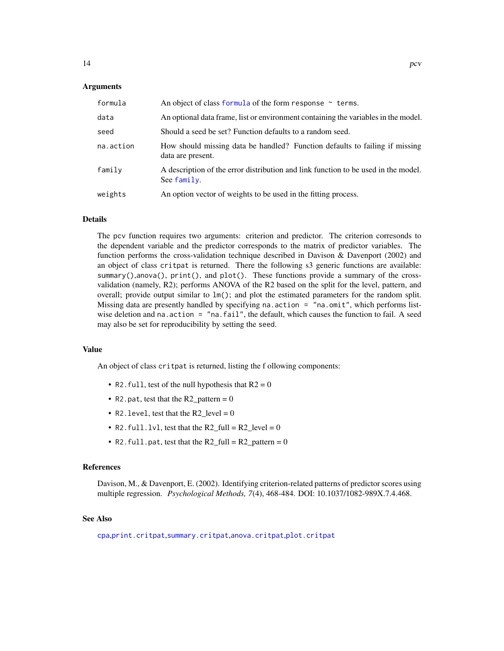#### <span id="page-13-0"></span>Arguments

| formula   | An object of class formula of the form response $\sim$ terms.                                     |
|-----------|---------------------------------------------------------------------------------------------------|
| data      | An optional data frame, list or environment containing the variables in the model.                |
| seed      | Should a seed be set? Function defaults to a random seed.                                         |
| na.action | How should missing data be handled? Function defaults to failing if missing<br>data are present.  |
| family    | A description of the error distribution and link function to be used in the model.<br>See family. |
| weights   | An option vector of weights to be used in the fitting process.                                    |

# Details

The pcv function requires two arguments: criterion and predictor. The criterion corresonds to the dependent variable and the predictor corresponds to the matrix of predictor variables. The function performs the cross-validation technique described in Davison & Davenport (2002) and an object of class critpat is returned. There the following s3 generic functions are available: summary(),anova(), print(), and plot(). These functions provide a summary of the crossvalidation (namely, R2); performs ANOVA of the R2 based on the split for the level, pattern, and overall; provide output similar to lm(); and plot the estimated parameters for the random split. Missing data are presently handled by specifying na.action = "na.omit", which performs listwise deletion and na.action = "na.fail", the default, which causes the function to fail. A seed may also be set for reproducibility by setting the seed.

#### Value

An object of class critpat is returned, listing the f ollowing components:

- R2. full, test of the null hypothesis that  $R2 = 0$
- R2.pat, test that the R2 pattern  $= 0$
- R2. level, test that the  $R2$  level = 0
- R2.  $full$ .  $1vl$ , test that the R2\_full = R2\_level = 0
- R2. full.pat, test that the R2\_full =  $R2$ \_pattern = 0

# References

Davison, M., & Davenport, E. (2002). Identifying criterion-related patterns of predictor scores using multiple regression. *Psychological Methods, 7*(4), 468-484. DOI: 10.1037/1082-989X.7.4.468.

#### See Also

[cpa](#page-3-1),[print.critpat](#page-16-2),[summary.critpat](#page-19-1),[anova.critpat](#page-2-1),[plot.critpat](#page-14-1)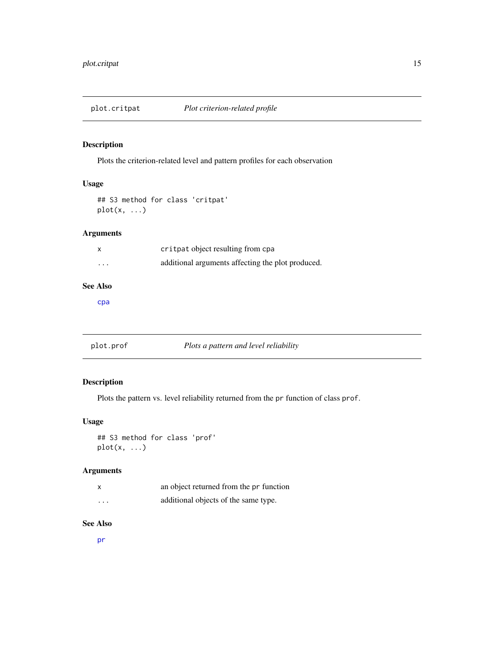<span id="page-14-1"></span><span id="page-14-0"></span>

Plots the criterion-related level and pattern profiles for each observation

# Usage

```
## S3 method for class 'critpat'
plot(x, \ldots)
```
# Arguments

|          | critpat object resulting from cpa                 |
|----------|---------------------------------------------------|
| $\cdots$ | additional arguments affecting the plot produced. |

# See Also

[cpa](#page-3-1)

<span id="page-14-2"></span>plot.prof *Plots a pattern and level reliability*

# Description

Plots the pattern vs. level reliability returned from the pr function of class prof.

# Usage

```
## S3 method for class 'prof'
plot(x, ...)
```
# Arguments

|          | an object returned from the pr function |
|----------|-----------------------------------------|
| $\cdots$ | additional objects of the same type.    |

# See Also

[pr](#page-15-1)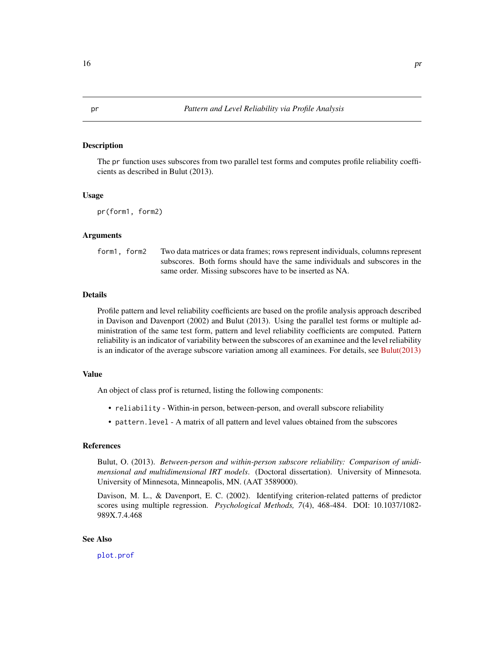<span id="page-15-1"></span><span id="page-15-0"></span>The pr function uses subscores from two parallel test forms and computes profile reliability coefficients as described in Bulut (2013).

#### Usage

pr(form1, form2)

# Arguments

form1, form2 Two data matrices or data frames; rows represent individuals, columns represent subscores. Both forms should have the same individuals and subscores in the same order. Missing subscores have to be inserted as NA.

#### Details

Profile pattern and level reliability coefficients are based on the profile analysis approach described in Davison and Davenport (2002) and Bulut (2013). Using the parallel test forms or multiple administration of the same test form, pattern and level reliability coefficients are computed. Pattern reliability is an indicator of variability between the subscores of an examinee and the level reliability is an indicator of the average subscore variation among all examinees. For details, see [Bulut\(2013\)](http://conservancy.umn.edu/bitstream/handle/11299/155592/Bulut_umn_0130E_13879.pdf)

#### Value

An object of class prof is returned, listing the following components:

- reliability Within-in person, between-person, and overall subscore reliability
- pattern.level A matrix of all pattern and level values obtained from the subscores

# References

Bulut, O. (2013). *Between-person and within-person subscore reliability: Comparison of unidimensional and multidimensional IRT models*. (Doctoral dissertation). University of Minnesota. University of Minnesota, Minneapolis, MN. (AAT 3589000).

Davison, M. L., & Davenport, E. C. (2002). Identifying criterion-related patterns of predictor scores using multiple regression. *Psychological Methods, 7*(4), 468-484. DOI: 10.1037/1082- 989X.7.4.468

# See Also

[plot.prof](#page-14-2)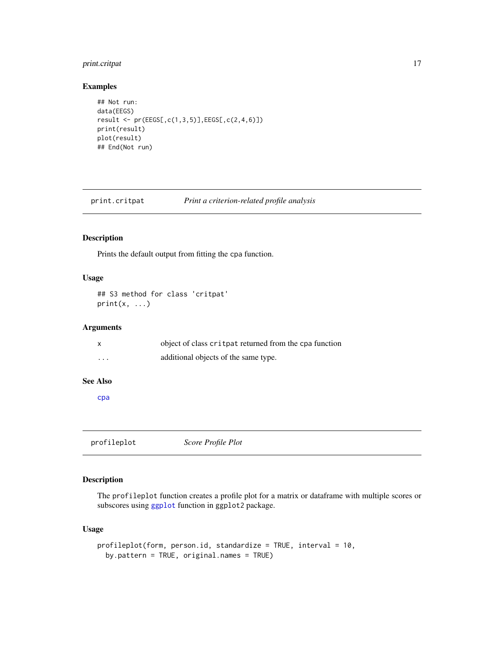# <span id="page-16-0"></span>print.critpat 17

# Examples

```
## Not run:
data(EEGS)
result <- pr(EEGS[,c(1,3,5)],EEGS[,c(2,4,6)])
print(result)
plot(result)
## End(Not run)
```
<span id="page-16-2"></span>print.critpat *Print a criterion-related profile analysis*

# Description

Prints the default output from fitting the cpa function.

# Usage

```
## S3 method for class 'critpat'
print(x, \ldots)
```
# Arguments

|   | object of class critpat returned from the cpa function |
|---|--------------------------------------------------------|
| . | additional objects of the same type.                   |

#### See Also

[cpa](#page-3-1)

<span id="page-16-1"></span>profileplot *Score Profile Plot*

# Description

The profileplot function creates a profile plot for a matrix or dataframe with multiple scores or subscores using [ggplot](#page-0-0) function in ggplot2 package.

# Usage

```
profileplot(form, person.id, standardize = TRUE, interval = 10,
 by.pattern = TRUE, original.names = TRUE)
```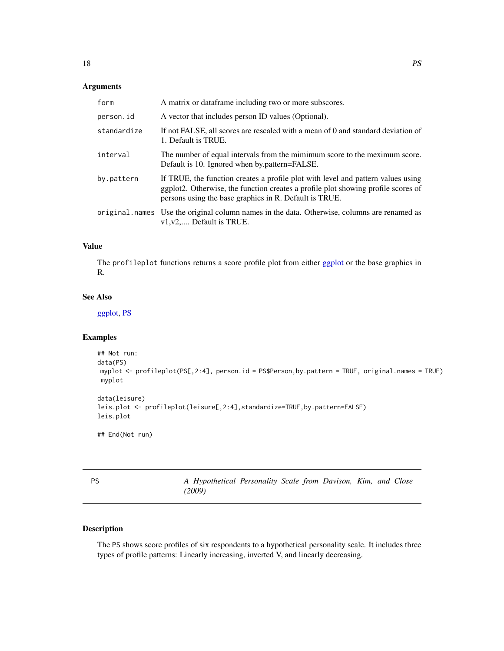# <span id="page-17-0"></span>Arguments

| form        | A matrix or dataframe including two or more subscores.                                                                                                                                                                          |
|-------------|---------------------------------------------------------------------------------------------------------------------------------------------------------------------------------------------------------------------------------|
| person.id   | A vector that includes person ID values (Optional).                                                                                                                                                                             |
| standardize | If not FALSE, all scores are rescaled with a mean of 0 and standard deviation of<br>1. Default is TRUE.                                                                                                                         |
| interval    | The number of equal intervals from the mimimum score to the meximum score.<br>Default is 10. Ignored when by pattern=FALSE.                                                                                                     |
| by.pattern  | If TRUE, the function creates a profile plot with level and pattern values using<br>ggplot2. Otherwise, the function creates a profile plot showing profile scores of<br>persons using the base graphics in R. Default is TRUE. |
|             | original names Use the original column names in the data. Otherwise, columns are renamed as<br>$v1, v2, \ldots$ Default is TRUE.                                                                                                |

# Value

The profileplot functions returns a score profile plot from either [ggplot](#page-0-0) or the base graphics in R.

# See Also

[ggplot,](#page-0-0) [PS](#page-17-1)

# Examples

```
## Not run:
data(PS)
myplot <- profileplot(PS[,2:4], person.id = PS$Person,by.pattern = TRUE, original.names = TRUE)
myplot
data(leisure)
leis.plot <- profileplot(leisure[,2:4],standardize=TRUE,by.pattern=FALSE)
leis.plot
## End(Not run)
```
<span id="page-17-1"></span>

| I  | ×                   |
|----|---------------------|
| ۰. | ×<br>I<br>. .<br>۰. |

A Hypothetical Personality Scale from Davison, Kim, and Close *(2009)*

# Description

The PS shows score profiles of six respondents to a hypothetical personality scale. It includes three types of profile patterns: Linearly increasing, inverted V, and linearly decreasing.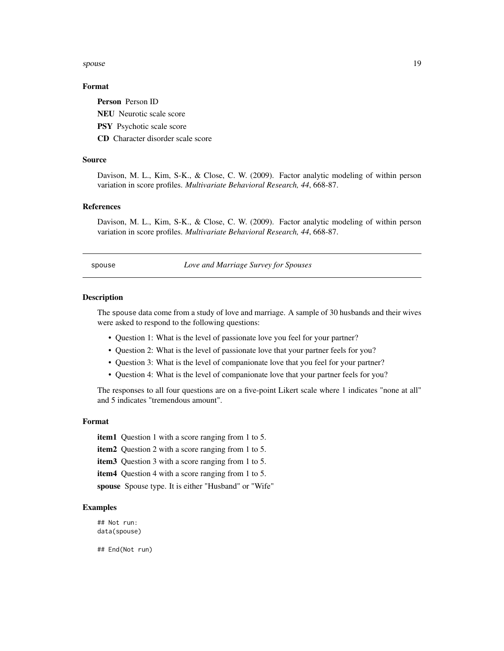#### <span id="page-18-0"></span>spouse that the spouse that the spouse is the spouse of the spouse in the spouse in the spouse in the spouse in the spouse in the spouse in the spouse in the spouse in the spouse in the spouse in the spouse in the spouse i

# Format

Person Person ID

NEU Neurotic scale score

PSY Psychotic scale score

CD Character disorder scale score

# Source

Davison, M. L., Kim, S-K., & Close, C. W. (2009). Factor analytic modeling of within person variation in score profiles. *Multivariate Behavioral Research, 44*, 668-87.

# References

Davison, M. L., Kim, S-K., & Close, C. W. (2009). Factor analytic modeling of within person variation in score profiles. *Multivariate Behavioral Research, 44*, 668-87.

spouse *Love and Marriage Survey for Spouses*

#### Description

The spouse data come from a study of love and marriage. A sample of 30 husbands and their wives were asked to respond to the following questions:

- Question 1: What is the level of passionate love you feel for your partner?
- Question 2: What is the level of passionate love that your partner feels for you?
- Question 3: What is the level of companionate love that you feel for your partner?
- Question 4: What is the level of companionate love that your partner feels for you?

The responses to all four questions are on a five-point Likert scale where 1 indicates "none at all" and 5 indicates "tremendous amount".

# Format

item1 Question 1 with a score ranging from 1 to 5.

item2 Question 2 with a score ranging from 1 to 5.

item3 Question 3 with a score ranging from 1 to 5.

item4 Question 4 with a score ranging from 1 to 5.

spouse Spouse type. It is either "Husband" or "Wife"

#### Examples

## Not run: data(spouse)

## End(Not run)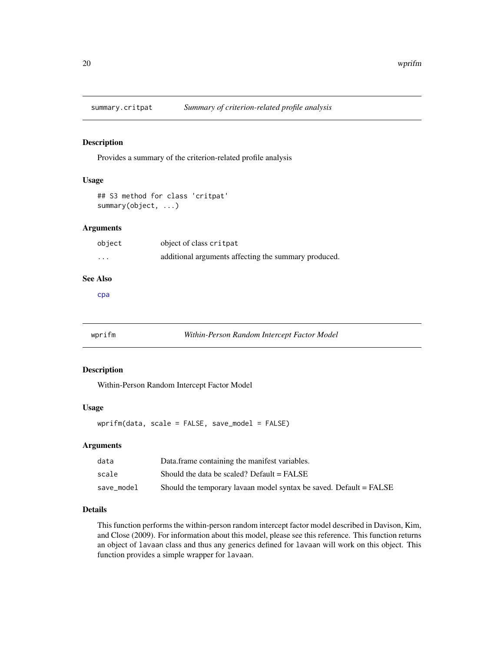<span id="page-19-1"></span><span id="page-19-0"></span>

Provides a summary of the criterion-related profile analysis

# Usage

```
## S3 method for class 'critpat'
summary(object, ...)
```
# Arguments

| object   | object of class critpat                              |
|----------|------------------------------------------------------|
| $\cdots$ | additional arguments affecting the summary produced. |

# See Also

[cpa](#page-3-1)

# wprifm *Within-Person Random Intercept Factor Model*

# Description

Within-Person Random Intercept Factor Model

# Usage

wprifm(data, scale = FALSE, save\_model = FALSE)

# Arguments

| data       | Data frame containing the manifest variables.                      |
|------------|--------------------------------------------------------------------|
| scale      | Should the data be scaled? Default $=$ FALSE                       |
| save model | Should the temporary lavaan model syntax be saved. Default = FALSE |

#### Details

This function performs the within-person random intercept factor model described in Davison, Kim, and Close (2009). For information about this model, please see this reference. This function returns an object of lavaan class and thus any generics defined for lavaan will work on this object. This function provides a simple wrapper for lavaan.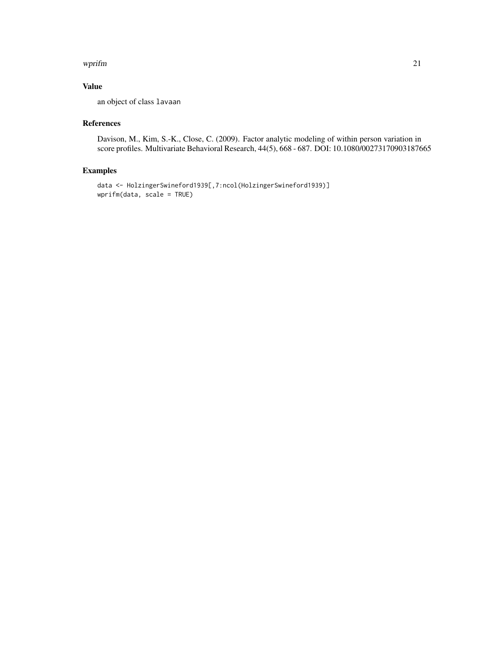#### wprifm 21

# Value

an object of class lavaan

# References

Davison, M., Kim, S.-K., Close, C. (2009). Factor analytic modeling of within person variation in score profiles. Multivariate Behavioral Research, 44(5), 668 - 687. DOI: 10.1080/00273170903187665

# Examples

```
data <- HolzingerSwineford1939[,7:ncol(HolzingerSwineford1939)]
wprifm(data, scale = TRUE)
```